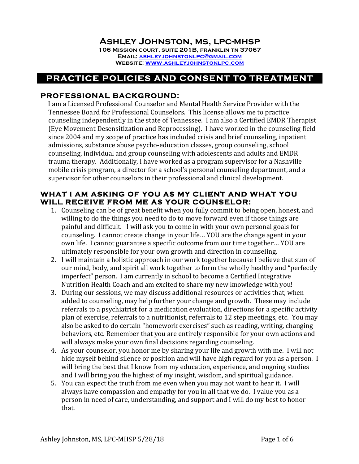### **Ashley Johnston, ms, lpc-mhsp**

**106 Mission court, suite 201B, franklin tn 37067 Email: ashleyjohnstonlpc@gmail.com Website: www.ashleyjohnstonlpc.com**

# **PRACTICE POLICIES AND CONSENT TO TREATMENT**

#### **PROFESSIONAL BACKGROUND:**

I am a Licensed Professional Counselor and Mental Health Service Provider with the Tennessee Board for Professional Counselors. This license allows me to practice counseling independently in the state of Tennessee. I am also a Certified EMDR Therapist (Eye Movement Desensitization and Reprocessing). I have worked in the counseling field since 2004 and my scope of practice has included crisis and brief counseling, inpatient admissions, substance abuse psycho-education classes, group counseling, school counseling, individual and group counseling with adolescents and adults and EMDR trauma therapy. Additionally, I have worked as a program supervisor for a Nashville mobile crisis program, a director for a school's personal counseling department, and a supervisor for other counselors in their professional and clinical development.

#### **WHAT I AM ASKING OF YOU AS MY CLIENT AND WHAT YOU WILL RECEIVE FROM ME AS YOUR COUNSELOR:**

- 1. Counseling can be of great benefit when you fully commit to being open, honest, and willing to do the things you need to do to move forward even if those things are painful and difficult. I will ask you to come in with your own personal goals for counseling. I cannot create change in your life... YOU are the change agent in your own life. I cannot guarantee a specific outcome from our time together... YOU are ultimately responsible for your own growth and direction in counseling.
- 2. I will maintain a holistic approach in our work together because I believe that sum of our mind, body, and spirit all work together to form the wholly healthy and "perfectly imperfect" person. I am currently in school to become a Certified Integrative Nutrition Health Coach and am excited to share my new knowledge with you!
- 3. During our sessions, we may discuss additional resources or activities that, when added to counseling, may help further your change and growth. These may include referrals to a psychiatrist for a medication evaluation, directions for a specific activity plan of exercise, referrals to a nutritionist, referrals to 12 step meetings, etc. You may also be asked to do certain "homework exercises" such as reading, writing, changing behaviors, etc. Remember that you are entirely responsible for your own actions and will always make your own final decisions regarding counseling.
- 4. As your counselor, you honor me by sharing your life and growth with me. I will not hide myself behind silence or position and will have high regard for you as a person. I will bring the best that I know from my education, experience, and ongoing studies and I will bring you the highest of my insight, wisdom, and spiritual guidance.
- 5. You can expect the truth from me even when you may not want to hear it. I will always have compassion and empathy for you in all that we do. I value you as a person in need of care, understanding, and support and I will do my best to honor that.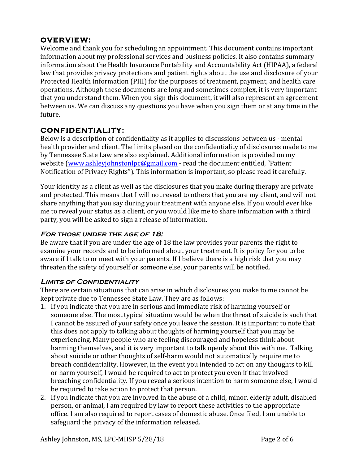### **OVERVIEW:**

Welcome and thank you for scheduling an appointment. This document contains important information about my professional services and business policies. It also contains summary information about the Health Insurance Portability and Accountability Act (HIPAA), a federal law that provides privacy protections and patient rights about the use and disclosure of your Protected Health Information (PHI) for the purposes of treatment, payment, and health care operations. Although these documents are long and sometimes complex, it is very important that you understand them. When you sign this document, it will also represent an agreement between us. We can discuss any questions you have when you sign them or at any time in the future. 

#### **CONFIDENTIALITY:**

Below is a description of confidentiality as it applies to discussions between us - mental health provider and client. The limits placed on the confidentiality of disclosures made to me by Tennessee State Law are also explained. Additional information is provided on my website (www.ashleyjohnstonlpc@gmail.com - read the document entitled, "Patient Notification of Privacy Rights"). This information is important, so please read it carefully.

Your identity as a client as well as the disclosures that you make during therapy are private and protected. This means that I will not reveal to others that you are my client, and will not share anything that you say during your treatment with anyone else. If you would ever like me to reveal your status as a client, or you would like me to share information with a third party, you will be asked to sign a release of information.

#### **For those under the age of 18:**

Be aware that if you are under the age of 18 the law provides your parents the right to examine your records and to be informed about your treatment. It is policy for you to be aware if I talk to or meet with your parents. If I believe there is a high risk that you may threaten the safety of yourself or someone else, your parents will be notified.

#### **Limits of Confidentiality**

There are certain situations that can arise in which disclosures you make to me cannot be kept private due to Tennessee State Law. They are as follows:

- 1. If you indicate that you are in serious and immediate risk of harming yourself or someone else. The most typical situation would be when the threat of suicide is such that I cannot be assured of your safety once you leave the session. It is important to note that this does not apply to talking about thoughts of harming yourself that you may be experiencing. Many people who are feeling discouraged and hopeless think about harming themselves, and it is very important to talk openly about this with me. Talking about suicide or other thoughts of self-harm would not automatically require me to breach confidentiality. However, in the event you intended to act on any thoughts to kill or harm yourself, I would be required to act to protect you even if that involved breaching confidentiality. If you reveal a serious intention to harm someone else, I would be required to take action to protect that person.
- 2. If you indicate that you are involved in the abuse of a child, minor, elderly adult, disabled person, or animal, I am required by law to report these activities to the appropriate office. I am also required to report cases of domestic abuse. Once filed, I am unable to safeguard the privacy of the information released.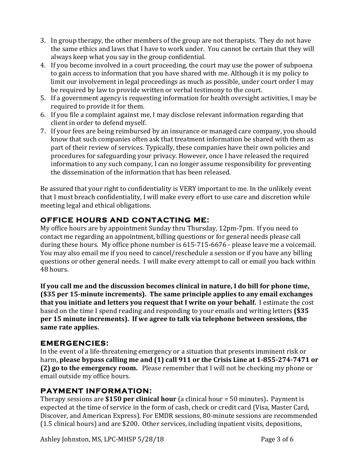- 3. In group therapy, the other members of the group are not therapists. They do not have the same ethics and laws that I have to work under. You cannot be certain that they will always keep what you say in the group confidential.
- 4. If you become involved in a court proceeding, the court may use the power of subpoena to gain access to information that you have shared with me. Although it is my policy to limit our involvement in legal proceedings as much as possible, under court order I may be required by law to provide written or verbal testimony to the court.
- 5. If a government agency is requesting information for health oversight activities, I may be required to provide it for them.
- 6. If you file a complaint against me, I may disclose relevant information regarding that client in order to defend myself.
- 7. If your fees are being reimbursed by an insurance or managed care company, you should know that such companies often ask that treatment information be shared with them as part of their review of services. Typically, these companies have their own policies and procedures for safeguarding your privacy. However, once I have released the required information to any such company, I can no longer assume responsibility for preventing the dissemination of the information that has been released.

Be assured that your right to confidentiality is VERY important to me. In the unlikely event that I must breach confidentiality, I will make every effort to use care and discretion while meeting legal and ethical obligations.

# **OFFICE HOURS AND CONTACTING ME:**

My office hours are by appointment Sunday thru Thursday, 12pm-7pm. If you need to contact me regarding an appointment, billing questions or for general needs please call during these hours. My office phone number is 615-715-6676 - please leave me a voicemail. You may also email me if you need to cancel/reschedule a session or if you have any billing questions or other general needs. I will make every attempt to call or email you back within 48 hours. 

**If you call me and the discussion becomes clinical in nature, I do bill for phone time, (\$35** per 15-minute increments). The same principle applies to any email exchanges **that you initiate and letters you request that I write on your behalf.** I estimate the cost based on the time I spend reading and responding to your emails and writing letters (\$35 per 15 minute increments). If we agree to talk via telephone between sessions, the same rate applies.

#### **EMERGENCIES:**

In the event of a life-threatening emergency or a situation that presents imminent risk or harm, please bypass calling me and (1) call 911 or the Crisis Line at 1-855-274-7471 or **(2)** go to the emergency room. Please remember that I will not be checking my phone or email outside my office hours.

# **PAYMENT INFORMATION:**

Therapy sessions are \$150 per clinical hour (a clinical hour = 50 minutes). Payment is expected at the time of service in the form of cash, check or credit card (Visa, Master Card, Discover, and American Express). For EMDR sessions, 80-minute sessions are recommended (1.5 clinical hours) and are \$200. Other services, including inpatient visits, depositions,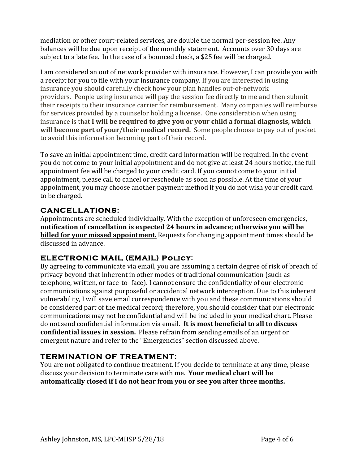mediation or other court-related services, are double the normal per-session fee. Any balances will be due upon receipt of the monthly statement. Accounts over 30 days are subject to a late fee. In the case of a bounced check, a \$25 fee will be charged.

I am considered an out of network provider with insurance. However, I can provide you with a receipt for you to file with your insurance company. If you are interested in using insurance you should carefully check how your plan handles out-of-network providers. People using insurance will pay the session fee directly to me and then submit their receipts to their insurance carrier for reimbursement. Many companies will reimburse for services provided by a counselor holding a license. One consideration when using insurance is that I will be required to give you or your child a formal diagnosis, which **will become part of your/their medical record.** Some people choose to pay out of pocket to avoid this information becoming part of their record.

To save an initial appointment time, credit card information will be required. In the event you do not come to your initial appointment and do not give at least 24 hours notice, the full appointment fee will be charged to your credit card. If you cannot come to your initial appointment, please call to cancel or reschedule as soon as possible. At the time of your appointment, you may choose another payment method if you do not wish your credit card to be charged.

### **CANCELLATIONS:**

Appointments are scheduled individually. With the exception of unforeseen emergencies, notification of cancellation is expected 24 hours in advance; otherwise you will be **billed for your missed appointment.** Requests for changing appointment times should be discussed in advance.

# **ELECTRONIC MAIL (EMAIL) Policy:**

By agreeing to communicate via email, you are assuming a certain degree of risk of breach of privacy beyond that inherent in other modes of traditional communication (such as telephone, written, or face-to- face). I cannot ensure the confidentiality of our electronic communications against purposeful or accidental network interception. Due to this inherent vulnerability, I will save email correspondence with you and these communications should be considered part of the medical record; therefore, you should consider that our electronic communications may not be confidential and will be included in your medical chart. Please do not send confidential information via email. It is most beneficial to all to discuss **confidential issues in session.** Please refrain from sending emails of an urgent or emergent nature and refer to the "Emergencies" section discussed above.

# **TERMINATION OF TREATMENT:**

You are not obligated to continue treatment. If you decide to terminate at any time, please discuss your decision to terminate care with me. Your medical chart will be automatically closed if I do not hear from you or see you after three months.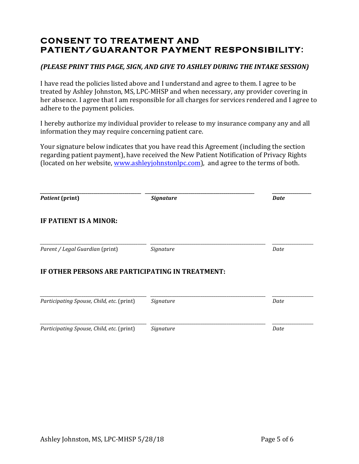# **CONSENT TO TREATMENT AND PATIENT/GUARANTOR PAYMENT RESPONSIBILITY:**

#### *(PLEASE PRINT THIS PAGE, SIGN, AND GIVE TO ASHLEY DURING THE INTAKE SESSION)*

I have read the policies listed above and I understand and agree to them. I agree to be treated by Ashley Johnston, MS, LPC-MHSP and when necessary, any provider covering in her absence. I agree that I am responsible for all charges for services rendered and I agree to adhere to the payment policies.

I hereby authorize my individual provider to release to my insurance company any and all information they may require concerning patient care.

Your signature below indicates that you have read this Agreement (including the section regarding patient payment), have received the New Patient Notification of Privacy Rights (located on her website, www.ashleyjohnstonlpc.com), and agree to the terms of both.

| <b>Patient</b> (print)                           | <b>Signature</b> | <b>Date</b> |
|--------------------------------------------------|------------------|-------------|
| IF PATIENT IS A MINOR:                           |                  |             |
| Parent / Legal Guardian (print)                  | Signature        | Date        |
| IF OTHER PERSONS ARE PARTICIPATING IN TREATMENT: |                  |             |
| Participating Spouse, Child, etc. (print)        | Signature        | Date        |
| Participating Spouse, Child, etc. (print)        | Signature        | Date        |